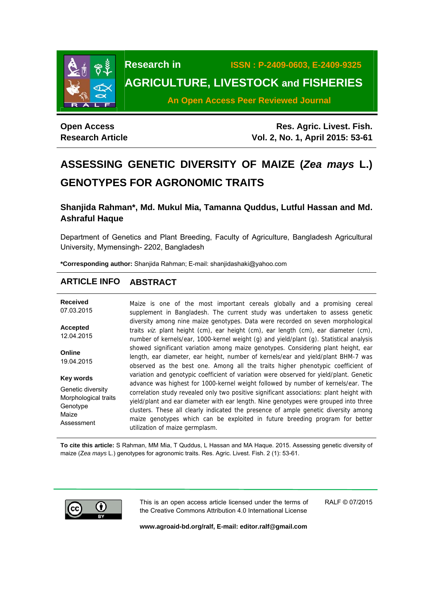

**Research in ISSN : P-2409-0603, E-2409-9325 AGRICULTURE, LIVESTOCK and FISHERIES** 

**An Open Access Peer Reviewed Journal**

# **Open Access Research Article**

**Res. Agric. Livest. Fish. Vol. 2, No. 1, April 2015: 53-61**

# **ASSESSING GENETIC DIVERSITY OF MAIZE (***Zea mays* **L.) GENOTYPES FOR AGRONOMIC TRAITS**

**Shanjida Rahman\*, Md. Mukul Mia, Tamanna Quddus, Lutful Hassan and Md. Ashraful Haque** 

Department of Genetics and Plant Breeding, Faculty of Agriculture, Bangladesh Agricultural University, Mymensingh- 2202, Bangladesh

**\*Corresponding author:** Shanjida Rahman; E-mail: shanjidashaki@yahoo.com

# **ARTICLE INFO ABSTRACT**

**Received**  07.03.2015 **Accepted**  12.04.2015 **Online**  19.04.2015 **Key words** Genetic diversity Morphological traits **Genotype** Maize Assessment Maize is one of the most important cereals globally and a promising cereal supplement in Bangladesh. The current study was undertaken to assess genetic diversity among nine maize genotypes. Data were recorded on seven morphological traits viz. plant height (cm), ear height (cm), ear length (cm), ear diameter (cm), number of kernels/ear, 1000-kernel weight (g) and yield/plant (g). Statistical analysis showed significant variation among maize genotypes. Considering plant height, ear length, ear diameter, ear height, number of kernels/ear and yield/plant BHM-7 was observed as the best one. Among all the traits higher phenotypic coefficient of variation and genotypic coefficient of variation were observed for yield/plant. Genetic advance was highest for 1000-kernel weight followed by number of kernels/ear. The correlation study revealed only two positive significant associations: plant height with yield/plant and ear diameter with ear length. Nine genotypes were grouped into three clusters. These all clearly indicated the presence of ample genetic diversity among maize genotypes which can be exploited in future breeding program for better utilization of maize germplasm.

**To cite this article:** S Rahman, MM Mia, T Quddus, L Hassan and MA Haque. 2015. Assessing genetic diversity of maize (Z*ea mays* L.) genotypes for agronomic traits. Res. Agric. Livest. Fish. 2 (1): 53-61.



This is an open access article licensed under the terms of the Creative Commons Attribution 4.0 International License

RALF © 07/2015

**www.agroaid-bd.org/ralf, E-mail: editor.ralf@gmail.com**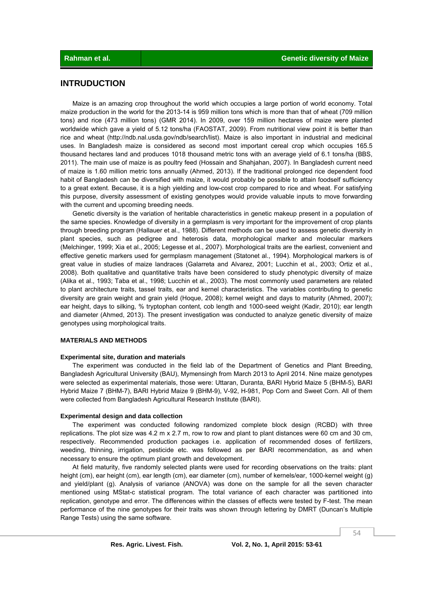# **INTRUDUCTION**

 Maize is an amazing crop throughout the world which occupies a large portion of world economy. Total maize production in the world for the 2013-14 is 959 million tons which is more than that of wheat (709 million tons) and rice (473 million tons) (GMR 2014). In 2009, over 159 million hectares of maize were planted worldwide which gave a yield of 5.12 tons/ha (FAOSTAT, 2009). From nutritional view point it is better than rice and wheat (http://ndb.nal.usda.gov/ndb/search/list). Maize is also important in industrial and medicinal uses. In Bangladesh maize is considered as second most important cereal crop which occupies 165.5 thousand hectares land and produces 1018 thousand metric tons with an average yield of 6.1 tons/ha (BBS, 2011). The main use of maize is as poultry feed (Hossain and Shahjahan, 2007). In Bangladesh current need of maize is 1.60 million metric tons annually (Ahmed, 2013). If the traditional prolonged rice dependent food habit of Bangladesh can be diversified with maize, it would probably be possible to attain foodself sufficiency to a great extent. Because, it is a high yielding and low-cost crop compared to rice and wheat. For satisfying this purpose, diversity assessment of existing genotypes would provide valuable inputs to move forwarding with the current and upcoming breeding needs.

 Genetic diversity is the variation of heritable characteristics in genetic makeup present in a population of the same species. Knowledge of diversity in a germplasm is very important for the improvement of crop plants through breeding program (Hallauer et al., 1988). Different methods can be used to assess genetic diversity in plant species, such as pedigree and heterosis data, morphological marker and molecular markers (Melchinger, 1999; Xia et al., 2005; Legesse et al., 2007). Morphological traits are the earliest, convenient and effective genetic markers used for germplasm management (Statonet al., 1994). Morphological markers is of great value in studies of maize landraces (Galarreta and Alvarez, 2001; Lucchin et al., 2003; Ortiz et al., 2008). Both qualitative and quantitative traits have been considered to study phenotypic diversity of maize (Alika et al., 1993; Taba et al., 1998; Lucchin et al., 2003). The most commonly used parameters are related to plant architecture traits, tassel traits, ear and kernel characteristics. The variables contributing to genetic diversity are grain weight and grain yield (Hoque, 2008); kernel weight and days to maturity (Ahmed, 2007); ear height, days to silking, % tryptophan content, cob length and 1000-seed weight (Kadir, 2010); ear length and diameter (Ahmed, 2013). The present investigation was conducted to analyze genetic diversity of maize genotypes using morphological traits.

#### **MATERIALS AND METHODS**

#### **Experimental site, duration and materials**

 The experiment was conducted in the field lab of the Department of Genetics and Plant Breeding, Bangladesh Agricultural University (BAU), Mymensingh from March 2013 to April 2014. Nine maize genotypes were selected as experimental materials, those were: Uttaran, Duranta, BARI Hybrid Maize 5 (BHM-5), BARI Hybrid Maize 7 (BHM-7), BARI Hybrid Maize 9 (BHM-9), V-92, H-981, Pop Corn and Sweet Corn. All of them were collected from Bangladesh Agricultural Research Institute (BARI).

#### **Experimental design and data collection**

 The experiment was conducted following randomized complete block design (RCBD) with three replications. The plot size was 4.2 m x 2.7 m, row to row and plant to plant distances were 60 cm and 30 cm, respectively. Recommended production packages i.e. application of recommended doses of fertilizers, weeding, thinning, irrigation, pesticide etc. was followed as per BARI recommendation, as and when necessary to ensure the optimum plant growth and development.

 At field maturity, five randomly selected plants were used for recording observations on the traits: plant height (cm), ear height (cm), ear length (cm), ear diameter (cm), number of kernels/ear, 1000-kernel weight (g) and yield/plant (g). Analysis of variance (ANOVA) was done on the sample for all the seven character mentioned using MStat-c statistical program. The total variance of each character was partitioned into replication, genotype and error. The differences within the classes of effects were tested by F-test. The mean performance of the nine genotypes for their traits was shown through lettering by DMRT (Duncan's Multiple Range Tests) using the same software.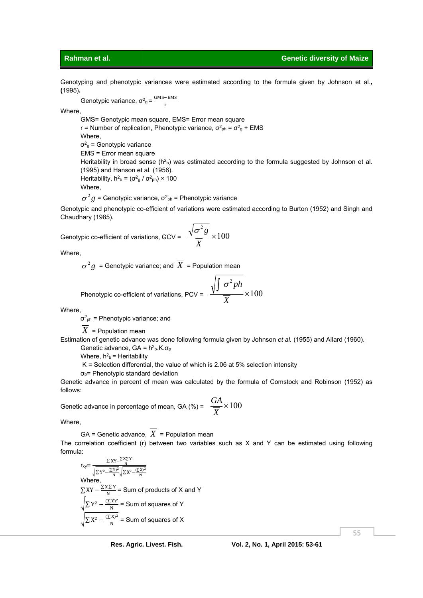Genotyping and phenotypic variances were estimated according to the formula given by Johnson et al.**, (**1995)**.** 

Genotypic variance,  $\sigma^2$ <sub>g</sub> =  $\frac{GMS-EMS}{n}$ r

Where,

GMS= Genotypic mean square, EMS= Error mean square r = Number of replication, Phenotypic variance,  $\sigma^2_{\rm ph} = \sigma^2_{\rm g} + \text{EMS}$ Where,  $\sigma_{g}^{2}$  = Genotypic variance EMS = Error mean square Heritability in broad sense ( $h^2$ b) was estimated according to the formula suggested by Johnson et al. (1995) and Hanson et al. (1956).

Heritability,  $h^2$ <sub>b</sub> = ( $\sigma^2$ <sub>g</sub> /  $\sigma^2$ <sub>ph</sub>) × 100 Where,

 $\sigma^2 g$  = Genotypic variance,  $\sigma^2_{ph}$  = Phenotypic variance

Genotypic and phenotypic co-efficient of variations were estimated according to Burton (1952) and Singh and Chaudhary (1985).

Genotypic co-efficient of variations, GCV =  $\frac{\sqrt{6}}{100} \times 100$ 2  $\times$ *X*  $\sigma^2g$ 

Where,

 $\sigma^2 g$  = Genotypic variance; and  $X$  = Population mean

Phenotypic co-efficient of variations, PCV = 
$$
\frac{\sqrt{\int \sigma^2 p h}}{\overline{X}} \times 100
$$

Where,

 $\sigma^2_{\rm ph}$  = Phenotypic variance; and

*X* = Population mean

Estimation of genetic advance was done following formula given by Johnson *et al.* (1955) and Allard (1960). Genetic advance,  $GA = h^2_b.K.\sigma_p$ 

Where,  $h^2$ <sub>b</sub> = Heritability

K = Selection differential, the value of which is 2.06 at 5% selection intensity

σp= Phenotypic standard deviation

Genetic advance in percent of mean was calculated by the formula of Comstock and Robinson (1952) as follows:

Genetic advance in percentage of mean, GA (%) =  $\frac{0.11}{2} \times 100$ *X GA*

Where,

 $GA =$  Genetic advance,  $\overline{X}$  = Population mean The correlation coefficient (r) between two variables such as X and Y can be estimated using following formula:

 $r_{xy} = \frac{\sum XY - \frac{\sum X \sum Y}{N}}{\sqrt{\sum Y^2 - \frac{(\sum Y)^2}{N}} \sqrt{\sum X^2 - \frac{(\sum X)^2}{N}}}$ Where,  $\sum XY - \frac{\sum X \sum Y}{N}$  = Sum of products of X and Y  $\sqrt{\sum Y^2 - \frac{(\sum Y)^2}{N}}$  = Sum of squares of Y  $\sqrt{\sum X^2 - \frac{(\sum X)^2}{N}}$  = Sum of squares of X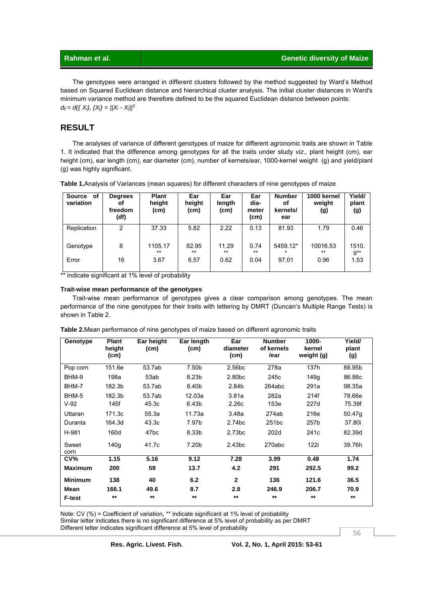The genotypes were arranged in different clusters followed by the method suggested by Ward's Method based on Squared Euclidean distance and hierarchical cluster analysis. The initial cluster distances in Ward's minimum variance method are therefore defined to be the squared Euclidean distance between points:  $d_{ij} = d({X_i}, {X_j} = ||X_i - X_j||^2)$ 

# **RESULT**

 The analyses of variance of different genotypes of maize for different agronomic traits are shown in Table 1. It indicated that the difference among genotypes for all the traits under study *viz*., plant height (cm), ear height (cm), ear length (cm), ear diameter (cm), number of kernels/ear, 1000-kernel weight (g) and yield/plant (g) was highly significant.

| Source<br>0f<br>variation | <b>Degrees</b><br>οf<br>freedom<br>(df) | <b>Plant</b><br>height<br>(cm) | Ear<br>height<br>(cm) | Ear<br>length<br>(cm) | Ear<br>dia-<br>meter<br>(cm) | <b>Number</b><br>οf<br>kernels/<br>ear | 1000 kernel<br>weight<br>(g) | Yield/<br>plant<br>(g) |
|---------------------------|-----------------------------------------|--------------------------------|-----------------------|-----------------------|------------------------------|----------------------------------------|------------------------------|------------------------|
| Replication               | 2                                       | 37.33                          | 5.82                  | 2.22                  | 0.13                         | 81.93                                  | 1.79                         | 0.46                   |
| Genotype                  | 8                                       | 1105.17<br>$***$               | 82.95<br>$***$        | 11.29<br>$***$        | 0.74<br>$***$                | 5459.12*                               | 10016.53<br>$***$            | 1510.<br>$9**$         |
| Error                     | 16                                      | 3.67                           | 6.57                  | 0.62                  | 0.04                         | 97.01                                  | 0.96                         | 1.53                   |

**Table 1.**Analysis of Variances (mean squares) for different characters of nine genotypes of maize

\*\* indicate significant at 1% level of probability

#### **Trait-wise mean performance of the genotypes**

 Trait-wise mean performance of genotypes gives a clear comparison among genotypes. The mean performance of the nine genotypes for their traits with lettering by DMRT (Duncan's Multiple Range Tests) is shown in Table 2.

| Genotype       | <b>Plant</b><br>height<br>(cm) | Ear height<br>(cm) | Ear length<br>(cm) | Ear<br>diameter<br>(cm) | <b>Number</b><br>of kernels<br>/ear | 1000-<br>kernel<br>weight (g) | Yield/<br>plant<br>(g) |
|----------------|--------------------------------|--------------------|--------------------|-------------------------|-------------------------------------|-------------------------------|------------------------|
| Pop corn       | 151.6e                         | 53.7ab             | 7.50b              | 2.56 <sub>bc</sub>      | 278a                                | 137h                          | 88.95b                 |
| BHM-9          | 198a                           | 53ab               | 8.23b              | 2.80 <sub>bc</sub>      | 245c                                | 149g                          | 86.86c                 |
| BHM-7          | 182.3b                         | 53.7ab             | 8.40b              | 2.84b                   | 264abc                              | 291a                          | 98.35a                 |
| BHM-5          | 182.3b                         | 53.7ab             | 12.03a             | 3.81a                   | 282a                                | 214f                          | 78.66e                 |
| $V-92$         | 145f                           | 45.3c              | 6.43b              | 2.26 <sub>c</sub>       | 153e                                | 227d                          | 75.39f                 |
| Uttaran        | 171.3c                         | 55.3a              | 11.73a             | 3.48a                   | 274ab                               | 216e                          | 50.47g                 |
| Duranta        | 164.3d                         | 43.3c              | 7.97b              | 2.74 <sub>bc</sub>      | 251 <sub>bc</sub>                   | 257b                          | 37.80i                 |
| H-981          | 160d                           | 47 <sub>bc</sub>   | 8.33b              | 2.73 <sub>bc</sub>      | 202d                                | 241 <sub>c</sub>              | 82.39d                 |
| Sweet<br>corn  | 140q                           | 41.7c              | 7.20b              | 2.43 <sub>bc</sub>      | 270abc                              | 122i                          | 39.76h                 |
| CV%            | 1.15                           | 5.16               | 9.12               | 7.28                    | 3.99                                | 0.48                          | 1.74                   |
| <b>Maximum</b> | 200                            | 59                 | 13.7               | 4.2                     | 291                                 | 292.5                         | 99.2                   |
| <b>Minimum</b> | 138                            | 40                 | 6.2                | $\overline{2}$          | 136                                 | 121.6                         | 36.5                   |
| Mean           | 166.1                          | 49.6               | 8.7                | 2.8                     | 246.9                               | 206.7                         | 70.9                   |
| <b>F-test</b>  | $***$                          | $***$              | $***$              | $***$                   | $***$                               | $***$                         | $***$                  |

**Table 2.**Mean performance of nine genotypes of maize based on different agronomic traits

Note: CV (%) = Coefficient of variation, \*\* indicate significant at 1% level of probability Similar letter indicates there is no significant difference at 5% level of probability as per DMRT Different letter indicates significant difference at 5% level of probability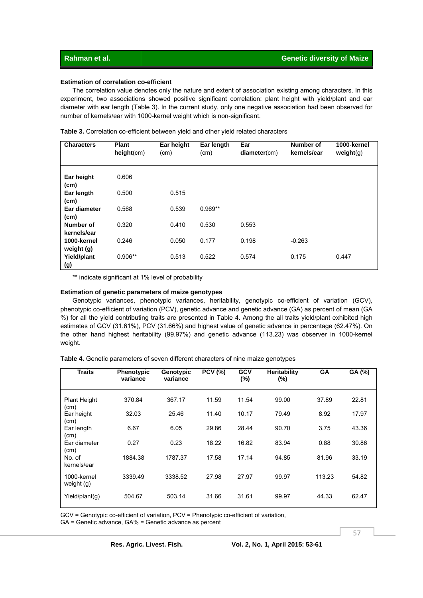### **Estimation of correlation co-efficient**

 The correlation value denotes only the nature and extent of association existing among characters. In this experiment, two associations showed positive significant correlation: plant height with yield/plant and ear diameter with ear length (Table 3). In the current study, only one negative association had been observed for number of kernels/ear with 1000-kernel weight which is non-significant.

| <b>Characters</b>                 | <b>Plant</b><br>height(cm) | Ear height<br>(cm) | Ear length<br>(cm) | Ear<br>diameter(cm) | <b>Number of</b><br>kernels/ear | 1000-kernel<br>weight(g) |
|-----------------------------------|----------------------------|--------------------|--------------------|---------------------|---------------------------------|--------------------------|
| Ear height<br>(c <sub>m</sub> )   | 0.606                      |                    |                    |                     |                                 |                          |
| Ear length<br>(cm)                | 0.500                      | 0.515              |                    |                     |                                 |                          |
| Ear diameter<br>(c <sub>m</sub> ) | 0.568                      | 0.539              | $0.969**$          |                     |                                 |                          |
| Number of<br>kernels/ear          | 0.320                      | 0.410              | 0.530              | 0.553               |                                 |                          |
| 1000-kernel<br>weight (g)         | 0.246                      | 0.050              | 0.177              | 0.198               | $-0.263$                        |                          |
| Yield/plant<br>(g)                | $0.906**$                  | 0.513              | 0.522              | 0.574               | 0.175                           | 0.447                    |

**Table 3.** Correlation co-efficient between yield and other yield related characters

\*\* indicate significant at 1% level of probability

#### **Estimation of genetic parameters of maize genotypes**

 Genotypic variances, phenotypic variances, heritability, genotypic co-efficient of variation (GCV), phenotypic co-efficient of variation (PCV), genetic advance and genetic advance (GA) as percent of mean (GA %) for all the yield contributing traits are presented in Table 4. Among the all traits yield/plant exhibited high estimates of GCV (31.61%), PCV (31.66%) and highest value of genetic advance in percentage (62.47%). On the other hand highest heritability (99.97%) and genetic advance (113.23) was observer in 1000-kernel weight.

|  | Table 4. Genetic parameters of seven different characters of nine maize genotypes |
|--|-----------------------------------------------------------------------------------|
|--|-----------------------------------------------------------------------------------|

| <b>Traits</b>               | <b>Phenotypic</b><br>variance | Genotypic<br>variance | <b>PCV (%)</b> | <b>GCV</b><br>(%) | <b>Heritability</b><br>(%) | <b>GA</b> | GA (%) |
|-----------------------------|-------------------------------|-----------------------|----------------|-------------------|----------------------------|-----------|--------|
| <b>Plant Height</b><br>(cm) | 370.84                        | 367.17                | 11.59          | 11.54             | 99.00                      | 37.89     | 22.81  |
| Ear height                  | 32.03                         | 25.46                 | 11.40          | 10.17             | 79.49                      | 8.92      | 17.97  |
| (cm)<br>Ear length<br>(cm)  | 6.67                          | 6.05                  | 29.86          | 28.44             | 90.70                      | 3.75      | 43.36  |
| Ear diameter<br>(cm)        | 0.27                          | 0.23                  | 18.22          | 16.82             | 83.94                      | 0.88      | 30.86  |
| No. of<br>kernels/ear       | 1884.38                       | 1787.37               | 17.58          | 17.14             | 94.85                      | 81.96     | 33.19  |
| 1000-kernel<br>weight $(q)$ | 3339.49                       | 3338.52               | 27.98          | 27.97             | 99.97                      | 113.23    | 54.82  |
| Yield/plant(g)              | 504.67                        | 503.14                | 31.66          | 31.61             | 99.97                      | 44.33     | 62.47  |

GCV = Genotypic co-efficient of variation, PCV = Phenotypic co-efficient of variation,

GA = Genetic advance, GA% = Genetic advance as percent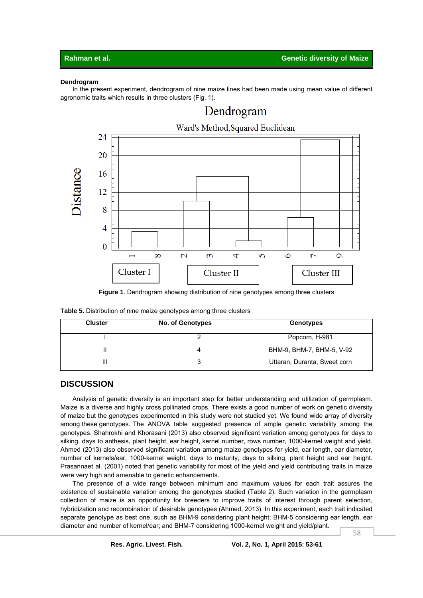### **Dendrogram**

 In the present experiment, dendrogram of nine maize lines had been made using mean value of different agronomic traits which results in three clusters (Fig. 1).



#### **Figure 1**. Dendrogram showing distribution of nine genotypes among three clusters

| <b>Table 5.</b> Distribution of nine maize genotypes among three clusters |  |
|---------------------------------------------------------------------------|--|
|---------------------------------------------------------------------------|--|

| <b>Cluster</b> | <b>No. of Genotypes</b> | Genotypes                    |
|----------------|-------------------------|------------------------------|
|                |                         | Popcorn, H-981               |
|                |                         | BHM-9, BHM-7, BHM-5, V-92    |
| Ш              |                         | Uttaran, Duranta, Sweet corn |

# **DISCUSSION**

 Analysis of genetic diversity is an important step for better understanding and utilization of germplasm. Maize is a diverse and highly cross pollinated crops. There exists a good number of work on genetic diversity of maize but the genotypes experimented in this study were not studied yet. We found wide array of diversity among these genotypes. The ANOVA table suggested presence of ample genetic variability among the genotypes. Shahrokhi and Khorasani (2013) also observed significant variation among genotypes for days to silking, days to anthesis, plant height, ear height, kernel number, rows number, 1000-kernel weight and yield. Ahmed (2013) also observed significant variation among maize genotypes for yield, ear length, ear diameter, number of kernels/ear, 1000-kernel weight, days to maturity, days to silking, plant height and ear height. Prasannaet al. (2001) noted that genetic variability for most of the yield and yield contributing traits in maize were very high and amenable to genetic enhancements.

 The presence of a wide range between minimum and maximum values for each trait assures the existence of sustainable variation among the genotypes studied (Table 2). Such variation in the germplasm collection of maize is an opportunity for breeders to improve traits of interest through parent selection, hybridization and recombination of desirable genotypes (Ahmed, 2013). In this experiment, each trait indicated separate genotype as best one, such as BHM-9 considering plant height; BHM-5 considering ear length, ear diameter and number of kernel/ear; and BHM-7 considering 1000-kernel weight and yield/plant.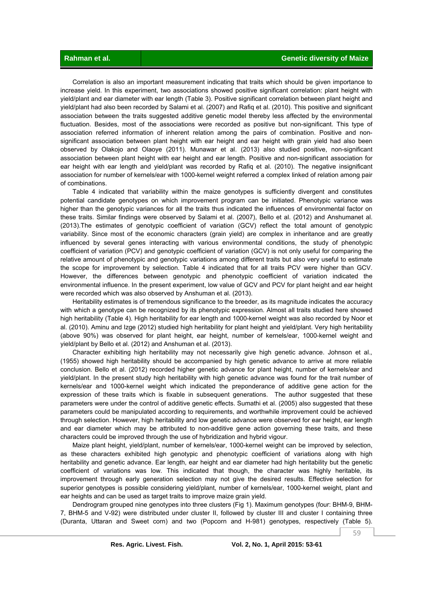Correlation is also an important measurement indicating that traits which should be given importance to increase yield. In this experiment, two associations showed positive significant correlation: plant height with yield/plant and ear diameter with ear length (Table 3). Positive significant correlation between plant height and yield/plant had also been recorded by Salami et al. (2007) and Rafiq et al. (2010). This positive and significant association between the traits suggested additive genetic model thereby less affected by the environmental fluctuation. Besides, most of the associations were recorded as positive but non-significant. This type of association referred information of inherent relation among the pairs of combination. Positive and nonsignificant association between plant height with ear height and ear height with grain yield had also been observed by Olakojo and Olaoye (2011). Munawar et al. (2013) also studied positive, non-significant association between plant height with ear height and ear length. Positive and non-significant association for ear height with ear length and yield/plant was recorded by Rafiq et al. (2010). The negative insignificant association for number of kernels/ear with 1000-kernel weight referred a complex linked of relation among pair of combinations.

 Table 4 indicated that variability within the maize genotypes is sufficiently divergent and constitutes potential candidate genotypes on which improvement program can be initiated. Phenotypic variance was higher than the genotypic variances for all the traits thus indicated the influences of environmental factor on these traits. Similar findings were observed by Salami et al. (2007), Bello et al. (2012) and Anshumanet al. (2013).The estimates of genotypic coefficient of variation (GCV) reflect the total amount of genotypic variability. Since most of the economic characters (grain yield) are complex in inheritance and are greatly influenced by several genes interacting with various environmental conditions, the study of phenotypic coefficient of variation (PCV) and genotypic coefficient of variation (GCV) is not only useful for comparing the relative amount of phenotypic and genotypic variations among different traits but also very useful to estimate the scope for improvement by selection. Table 4 indicated that for all traits PCV were higher than GCV. However, the differences between genotypic and phenotypic coefficient of variation indicated the environmental influence. In the present experiment, low value of GCV and PCV for plant height and ear height were recorded which was also observed by Anshuman et al. (2013).

 Heritability estimates is of tremendous significance to the breeder, as its magnitude indicates the accuracy with which a genotype can be recognized by its phenotypic expression. Almost all traits studied here showed high heritability (Table 4). High heritability for ear length and 1000-kernel weight was also recorded by Noor et al. (2010). Aminu and Izge (2012) studied high heritability for plant height and yield/plant. Very high heritability (above 90%) was observed for plant height, ear height, number of kernels/ear, 1000-kernel weight and yield/plant by Bello et al. (2012) and Anshuman et al. (2013).

 Character exhibiting high heritability may not necessarily give high genetic advance. Johnson et al.*,*  (1955) showed high heritability should be accompanied by high genetic advance to arrive at more reliable conclusion. Bello et al. (2012) recorded higher genetic advance for plant height, number of kernels/ear and yield/plant. In the present study high heritability with high genetic advance was found for the trait number of kernels/ear and 1000-kernel weight which indicated the preponderance of additive gene action for the expression of these traits which is fixable in subsequent generations. The author suggested that these parameters were under the control of additive genetic effects. Sumathi et al. (2005) also suggested that these parameters could be manipulated according to requirements, and worthwhile improvement could be achieved through selection. However, high heritability and low genetic advance were observed for ear height, ear length and ear diameter which may be attributed to non-additive gene action governing these traits, and these characters could be improved through the use of hybridization and hybrid vigour.

 Maize plant height, yield/plant, number of kernels/ear, 1000-kernel weight can be improved by selection, as these characters exhibited high genotypic and phenotypic coefficient of variations along with high heritability and genetic advance. Ear length, ear height and ear diameter had high heritability but the genetic coefficient of variations was low. This indicated that though, the character was highly heritable, its improvement through early generation selection may not give the desired results. Effective selection for superior genotypes is possible considering yield/plant, number of kernels/ear, 1000-kernel weight, plant and ear heights and can be used as target traits to improve maize grain yield.

 Dendrogram grouped nine genotypes into three clusters (Fig 1). Maximum genotypes (four: BHM-9, BHM-7, BHM-5 and V-92) were distributed under cluster II, followed by cluster III and cluster I containing three (Duranta, Uttaran and Sweet corn) and two (Popcorn and H-981) genotypes, respectively (Table 5).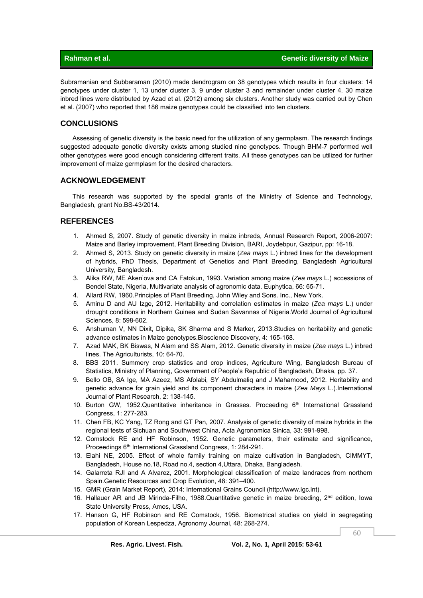|  | Rahman et al. |
|--|---------------|
|  |               |

Subramanian and Subbaraman (2010) made dendrogram on 38 genotypes which results in four clusters: 14 genotypes under cluster 1, 13 under cluster 3, 9 under cluster 3 and remainder under cluster 4. 30 maize inbred lines were distributed by Azad et al. (2012) among six clusters. Another study was carried out by Chen et al. (2007) who reported that 186 maize genotypes could be classified into ten clusters.

# **CONCLUSIONS**

 Assessing of genetic diversity is the basic need for the utilization of any germplasm. The research findings suggested adequate genetic diversity exists among studied nine genotypes. Though BHM-7 performed well other genotypes were good enough considering different traits. All these genotypes can be utilized for further improvement of maize germplasm for the desired characters.

# **ACKNOWLEDGEMENT**

 This research was supported by the special grants of the Ministry of Science and Technology, Bangladesh, grant No.BS-43/2014.

# **REFERENCES**

- 1. Ahmed S, 2007. Study of genetic diversity in maize inbreds, Annual Research Report, 2006-2007: Maize and Barley improvement, Plant Breeding Division, BARI, Joydebpur, Gazipur, pp: 16-18.
- 2. Ahmed S, 2013. Study on genetic diversity in maize (*Zea mays* L.) inbred lines for the development of hybrids, PhD Thesis, Department of Genetics and Plant Breeding, Bangladesh Agricultural University, Bangladesh.
- 3. Alika RW, ME Aken'ova and CA Fatokun, 1993. Variation among maize (*Zea mays* L.) accessions of Bendel State, Nigeria, Multivariate analysis of agronomic data. Euphytica, 66: 65-71.
- 4. Allard RW, 1960.Principles of Plant Breeding, John Wiley and Sons. Inc., New York.
- 5. Aminu D and AU Izge, 2012. Heritability and correlation estimates in maize (*Zea mays* L.) under drought conditions in Northern Guinea and Sudan Savannas of Nigeria.World Journal of Agricultural Sciences, 8: 598-602.
- 6. Anshuman V, NN Dixit, Dipika, SK Sharma and S Marker, 2013.Studies on heritability and genetic advance estimates in Maize genotypes.Bioscience Discovery, 4: 165-168.
- 7. Azad MAK, BK Biswas, N Alam and SS Alam, 2012. Genetic diversity in maize (*Zea mays* L.) inbred lines. The Agriculturists, 10: 64-70.
- 8. BBS 2011. Summery crop statistics and crop indices, Agriculture Wing, Bangladesh Bureau of Statistics, Ministry of Planning, Government of People's Republic of Bangladesh, Dhaka, pp. 37.
- 9. Bello OB, SA Ige, MA Azeez, MS Afolabi, SY Abdulmaliq and J Mahamood, 2012. Heritability and genetic advance for grain yield and its component characters in maize (*Zea Mays* L.).International Journal of Plant Research, 2: 138-145.
- 10. Burton GW, 1952.Quantitative inheritance in Grasses. Proceeding  $6<sup>th</sup>$  International Grassland Congress, 1: 277-283.
- 11. Chen FB, KC Yang, TZ Rong and GT Pan, 2007. Analysis of genetic diversity of maize hybrids in the regional tests of Sichuan and Southwest China, Acta Agronomica Sinica, 33: 991-998.
- 12. Comstock RE and HF Robinson, 1952. Genetic parameters, their estimate and significance, Proceedings 6th International Grassland Congress, 1: 284-291.
- 13. Elahi NE, 2005. Effect of whole family training on maize cultivation in Bangladesh, CIMMYT, Bangladesh, House no.18, Road no.4, section 4,Uttara, Dhaka, Bangladesh.
- 14. Galarreta RJI and A Alvarez, 2001. Morphological classification of maize landraces from northern Spain.Genetic Resources and Crop Evolution, 48: 391–400.
- 15. GMR (Grain Market Report), 2014: International Grains Council (http://www.lgc.lnt).
- 16. Hallauer AR and JB Mirinda-Filho, 1988.Quantitative genetic in maize breeding,  $2^{nd}$  edition, Iowa State University Press, Ames, USA.
- 17. Hanson G, HF Robinson and RE Comstock, 1956. Biometrical studies on yield in segregating population of Korean Lespedza, Agronomy Journal, 48: 268-274.